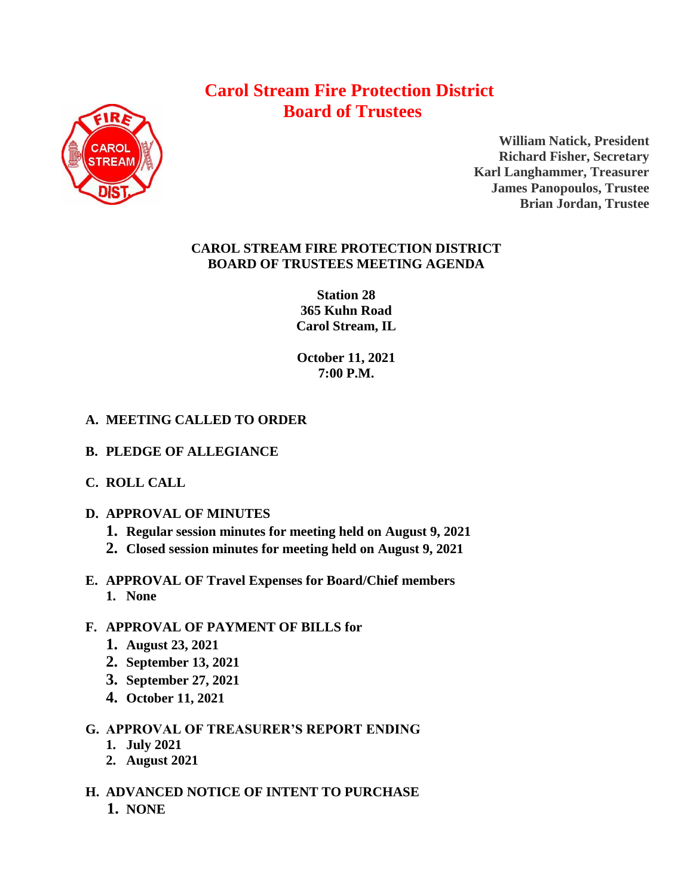# **Carol Stream Fire Protection District Board of Trustees**



**William Natick, President Richard Fisher, Secretary Karl Langhammer, Treasurer James Panopoulos, Trustee Brian Jordan, Trustee**

### **CAROL STREAM FIRE PROTECTION DISTRICT BOARD OF TRUSTEES MEETING AGENDA**

**Station 28 365 Kuhn Road Carol Stream, IL** 

**October 11, 2021 7:00 P.M.**

# **A. MEETING CALLED TO ORDER**

- **B. PLEDGE OF ALLEGIANCE**
- **C. ROLL CALL**
- **D. APPROVAL OF MINUTES**
	- **1. Regular session minutes for meeting held on August 9, 2021**
	- **2. Closed session minutes for meeting held on August 9, 2021**
- **E. APPROVAL OF Travel Expenses for Board/Chief members 1. None**

# **F. APPROVAL OF PAYMENT OF BILLS for**

- **1. August 23, 2021**
- **2. September 13, 2021**
- **3. September 27, 2021**
- **4. October 11, 2021**
- **G. APPROVAL OF TREASURER'S REPORT ENDING** 
	- **1. July 2021**
	- **2. August 2021**
- **H. ADVANCED NOTICE OF INTENT TO PURCHASE 1. NONE**